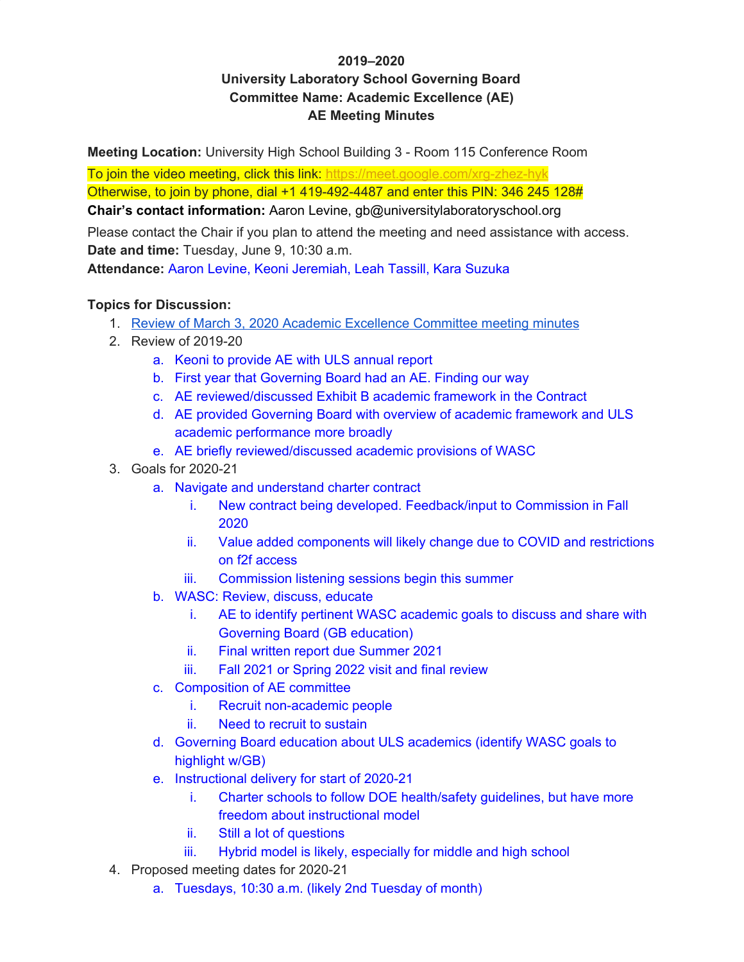### **2019–2020 University Laboratory School Governing Board Committee Name: Academic Excellence (AE) AE Meeting Minutes**

**Meeting Location:** University High School Building 3 - Room 115 Conference Room

To join the video meeting, click this link: <https://meet.google.com/xrg-zhez-hyk> Otherwise, to join by phone, dial +1 419-492-4487 and enter this PIN: 346 245 128#

**Chair's contact information:** Aaron Levine, gb@universitylaboratoryschool.org

Please contact the Chair if you plan to attend the meeting and need assistance with access. **Date and time:** Tuesday, June 9, 10:30 a.m.

**Attendance:** Aaron Levine, Keoni Jeremiah, Leah Tassill, Kara Suzuka

#### **Topics for Discussion:**

- 1. Review of March 3, 2020 Academic [Excellence](https://docs.google.com/document/d/1U2O3gvLKsXyM_BL6n9x5a7vwRjqT7rFlRT2mkXMtL7M/edit?usp=sharing) Committee meeting minutes
- 2. Review of 2019-20
	- a. Keoni to provide AE with ULS annual report
	- b. First year that Governing Board had an AE. Finding our way
	- c. AE reviewed/discussed Exhibit B academic framework in the Contract
	- d. AE provided Governing Board with overview of academic framework and ULS academic performance more broadly
	- e. AE briefly reviewed/discussed academic provisions of WASC
- 3. Goals for 2020-21
	- a. Navigate and understand charter contract
		- i. New contract being developed. Feedback/input to Commission in Fall 2020
		- ii. Value added components will likely change due to COVID and restrictions on f2f access
		- iii. Commission listening sessions begin this summer
	- b. WASC: Review, discuss, educate
		- i. AE to identify pertinent WASC academic goals to discuss and share with Governing Board (GB education)
		- ii. Final written report due Summer 2021
		- iii. Fall 2021 or Spring 2022 visit and final review
	- c. Composition of AE committee
		- i. Recruit non-academic people
		- ii. Need to recruit to sustain
	- d. Governing Board education about ULS academics (identify WASC goals to highlight w/GB)
	- e. Instructional delivery for start of 2020-21
		- i. Charter schools to follow DOE health/safety guidelines, but have more freedom about instructional model
		- ii. Still a lot of questions
		- iii. Hybrid model is likely, especially for middle and high school
- 4. Proposed meeting dates for 2020-21
	- a. Tuesdays, 10:30 a.m. (likely 2nd Tuesday of month)